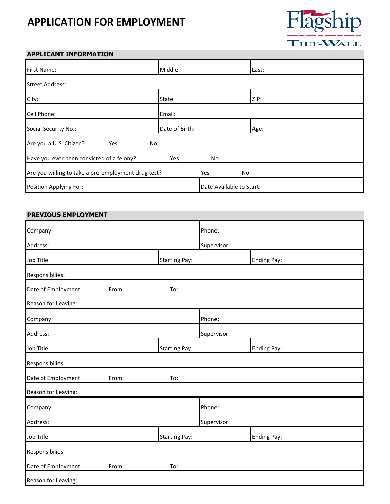# **APPLICATION FOR EMPLOYMENT**



## **APPLICANT INFORMATION**

| First Name:                                         | Middle:        |                          | Last: |
|-----------------------------------------------------|----------------|--------------------------|-------|
| <b>Street Address:</b>                              |                |                          |       |
| City:                                               | State:         |                          | ZIP:  |
| Cell Phone:                                         | Email:         |                          |       |
| Social Security No.:                                | Date of Birth: |                          | Age:  |
| Are you a U.S. Citizen?<br>Yes<br>No                |                |                          |       |
| Have you ever been convicted of a felony?           | Yes            | No                       |       |
| Are you willing to take a pre-employment drug test? |                | Yes<br>No                |       |
| Position Applying For:                              |                | Date Available to Start: |       |

#### **PREVIOUS EMPLOYMENT**

| Company:            |       |                      | Phone:      |                    |  |
|---------------------|-------|----------------------|-------------|--------------------|--|
| Address:            |       |                      | Supervisor: |                    |  |
| Job Title:          |       | <b>Starting Pay:</b> |             | <b>Ending Pay:</b> |  |
| Responsibilies:     |       |                      |             |                    |  |
| Date of Employment: | From: | To:                  |             |                    |  |
| Reason for Leaving: |       |                      |             |                    |  |
| Company:            |       |                      | Phone:      |                    |  |
| Address:            |       |                      | Supervisor: |                    |  |
| Job Title:          |       | <b>Starting Pay:</b> |             | <b>Ending Pay:</b> |  |
| Responsibilies:     |       |                      |             |                    |  |
| Date of Employment: | From: | To:                  |             |                    |  |
| Reason for Leaving: |       |                      |             |                    |  |
| Company:            |       |                      | Phone:      |                    |  |
| Address:            |       |                      | Supervisor: |                    |  |
| Job Title:          |       | <b>Starting Pay:</b> |             | <b>Ending Pay:</b> |  |
| Responsibilies:     |       |                      |             |                    |  |
| Date of Employment: | From: | To:                  |             |                    |  |
| Reason for Leaving: |       |                      |             |                    |  |